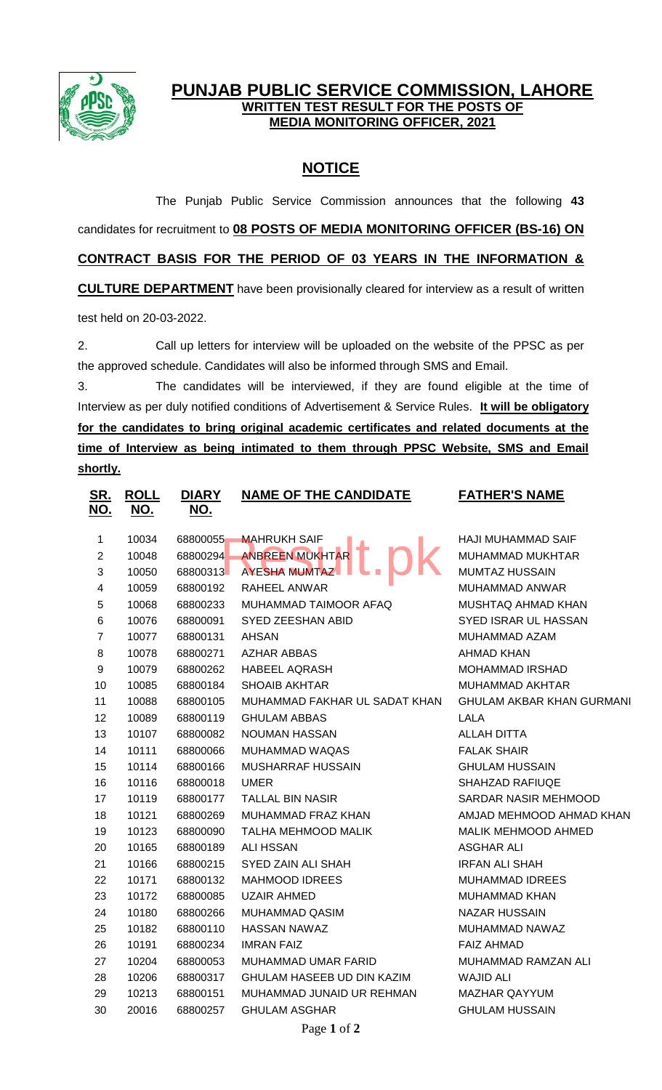

## **PUNJAB PUBLIC SERVICE COMMISSION, LAHORE WRITTEN TEST RESULT FOR THE POSTS OF MEDIA MONITORING OFFICER, 2021**

## **NOTICE**

The Punjab Public Service Commission announces that the following **43** candidates for recruitment to **08 POSTS OF MEDIA MONITORING OFFICER (BS-16) ON CONTRACT BASIS FOR THE PERIOD OF 03 YEARS IN THE INFORMATION & CULTURE DEPARTMENT** have been provisionally cleared for interview as a result of written

test held on 20-03-2022.

2. Call up letters for interview will be uploaded on the website of the PPSC as per the approved schedule. Candidates will also be informed through SMS and Email.

3. The candidates will be interviewed, if they are found eligible at the time of Interview as per duly notified conditions of Advertisement & Service Rules. **It will be obligatory for the candidates to bring original academic certificates and related documents at the time of Interview as being intimated to them through PPSC Website, SMS and Email shortly.**

| <u>SR.</u><br><u>NO.</u> | <b>ROLL</b><br><u>NO.</u> | <b>DIARY</b><br><u>NO.</u> | <b>NAME OF THE CANDIDATE</b>  | <b>FATHER'S NAME</b>             |
|--------------------------|---------------------------|----------------------------|-------------------------------|----------------------------------|
| $\mathbf{1}$             | 10034                     | 68800055                   | <b>MAHRUKH SAIF</b>           | <b>HAJI MUHAMMAD SAIF</b>        |
| $\overline{2}$           | 10048                     | 68800294                   | <b>ANBREEN MUKHTAR</b>        | MUHAMMAD MUKHTAR                 |
| 3                        | 10050                     | 68800313                   | <b>AYESHA MUMTAZ</b>          | MUMTAZ HUSSAIN                   |
| $\overline{4}$           | 10059                     | 68800192                   | <b>RAHEEL ANWAR</b>           | MUHAMMAD ANWAR                   |
| 5                        | 10068                     | 68800233                   | MUHAMMAD TAIMOOR AFAQ         | MUSHTAQ AHMAD KHAN               |
| 6                        | 10076                     | 68800091                   | SYED ZEESHAN ABID             | SYED ISRAR UL HASSAN             |
| $\overline{7}$           | 10077                     | 68800131                   | <b>AHSAN</b>                  | MUHAMMAD AZAM                    |
| 8                        | 10078                     | 68800271                   | <b>AZHAR ABBAS</b>            | <b>AHMAD KHAN</b>                |
| 9                        | 10079                     | 68800262                   | <b>HABEEL AQRASH</b>          | MOHAMMAD IRSHAD                  |
| 10                       | 10085                     | 68800184                   | <b>SHOAIB AKHTAR</b>          | MUHAMMAD AKHTAR                  |
| 11                       | 10088                     | 68800105                   | MUHAMMAD FAKHAR UL SADAT KHAN | <b>GHULAM AKBAR KHAN GURMANI</b> |
| 12                       | 10089                     | 68800119                   | <b>GHULAM ABBAS</b>           | <b>LALA</b>                      |
| 13                       | 10107                     | 68800082                   | <b>NOUMAN HASSAN</b>          | <b>ALLAH DITTA</b>               |
| 14                       | 10111                     | 68800066                   | MUHAMMAD WAQAS                | <b>FALAK SHAIR</b>               |
| 15                       | 10114                     | 68800166                   | MUSHARRAF HUSSAIN             | <b>GHULAM HUSSAIN</b>            |
| 16                       | 10116                     | 68800018                   | <b>UMER</b>                   | SHAHZAD RAFIUQE                  |
| 17                       | 10119                     | 68800177                   | <b>TALLAL BIN NASIR</b>       | SARDAR NASIR MEHMOOD             |
| 18                       | 10121                     | 68800269                   | MUHAMMAD FRAZ KHAN            | AMJAD MEHMOOD AHMAD KHAN         |
| 19                       | 10123                     | 68800090                   | <b>TALHA MEHMOOD MALIK</b>    | MALIK MEHMOOD AHMED              |
| 20                       | 10165                     | 68800189                   | <b>ALI HSSAN</b>              | <b>ASGHAR ALI</b>                |
| 21                       | 10166                     | 68800215                   | SYED ZAIN ALI SHAH            | <b>IRFAN ALI SHAH</b>            |
| 22                       | 10171                     | 68800132                   | <b>MAHMOOD IDREES</b>         | <b>MUHAMMAD IDREES</b>           |
| 23                       | 10172                     | 68800085                   | <b>UZAIR AHMED</b>            | MUHAMMAD KHAN                    |
| 24                       | 10180                     | 68800266                   | MUHAMMAD QASIM                | <b>NAZAR HUSSAIN</b>             |
| 25                       | 10182                     | 68800110                   | <b>HASSAN NAWAZ</b>           | MUHAMMAD NAWAZ                   |
| 26                       | 10191                     | 68800234                   | <b>IMRAN FAIZ</b>             | <b>FAIZ AHMAD</b>                |
| 27                       | 10204                     | 68800053                   | MUHAMMAD UMAR FARID           | MUHAMMAD RAMZAN ALI              |
| 28                       | 10206                     | 68800317                   | GHULAM HASEEB UD DIN KAZIM    | <b>WAJID ALI</b>                 |
| 29                       | 10213                     | 68800151                   | MUHAMMAD JUNAID UR REHMAN     | <b>MAZHAR QAYYUM</b>             |
| 30                       | 20016                     | 68800257                   | <b>GHULAM ASGHAR</b>          | <b>GHULAM HUSSAIN</b>            |
|                          |                           |                            |                               |                                  |